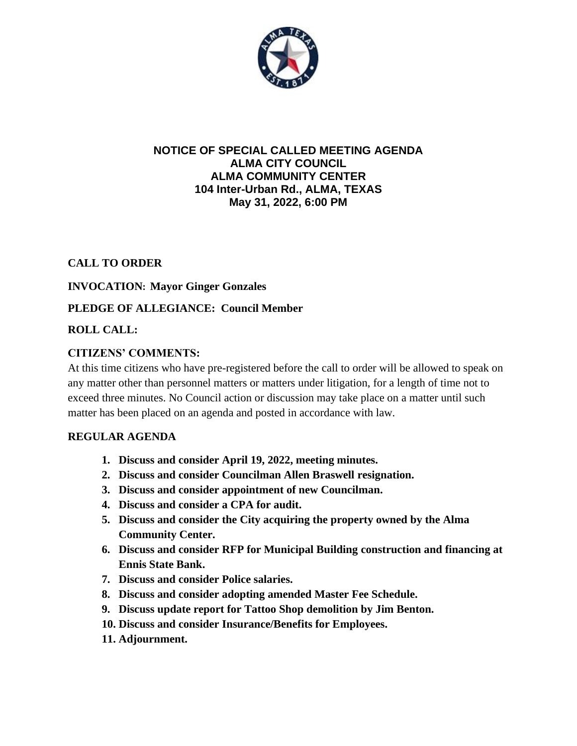

#### **NOTICE OF SPECIAL CALLED MEETING AGENDA ALMA CITY COUNCIL ALMA COMMUNITY CENTER 104 Inter-Urban Rd., ALMA, TEXAS May 31, 2022, 6:00 PM**

## **CALL TO ORDER**

## **INVOCATION: Mayor Ginger Gonzales**

## **PLEDGE OF ALLEGIANCE: Council Member**

## **ROLL CALL:**

## **CITIZENS' COMMENTS:**

At this time citizens who have pre-registered before the call to order will be allowed to speak on any matter other than personnel matters or matters under litigation, for a length of time not to exceed three minutes. No Council action or discussion may take place on a matter until such matter has been placed on an agenda and posted in accordance with law.

#### **REGULAR AGENDA**

- **1. Discuss and consider April 19, 2022, meeting minutes.**
- **2. Discuss and consider Councilman Allen Braswell resignation.**
- **3. Discuss and consider appointment of new Councilman.**
- **4. Discuss and consider a CPA for audit.**
- **5. Discuss and consider the City acquiring the property owned by the Alma Community Center.**
- **6. Discuss and consider RFP for Municipal Building construction and financing at Ennis State Bank.**
- **7. Discuss and consider Police salaries.**
- **8. Discuss and consider adopting amended Master Fee Schedule.**
- **9. Discuss update report for Tattoo Shop demolition by Jim Benton.**
- **10. Discuss and consider Insurance/Benefits for Employees.**
- **11. Adjournment.**